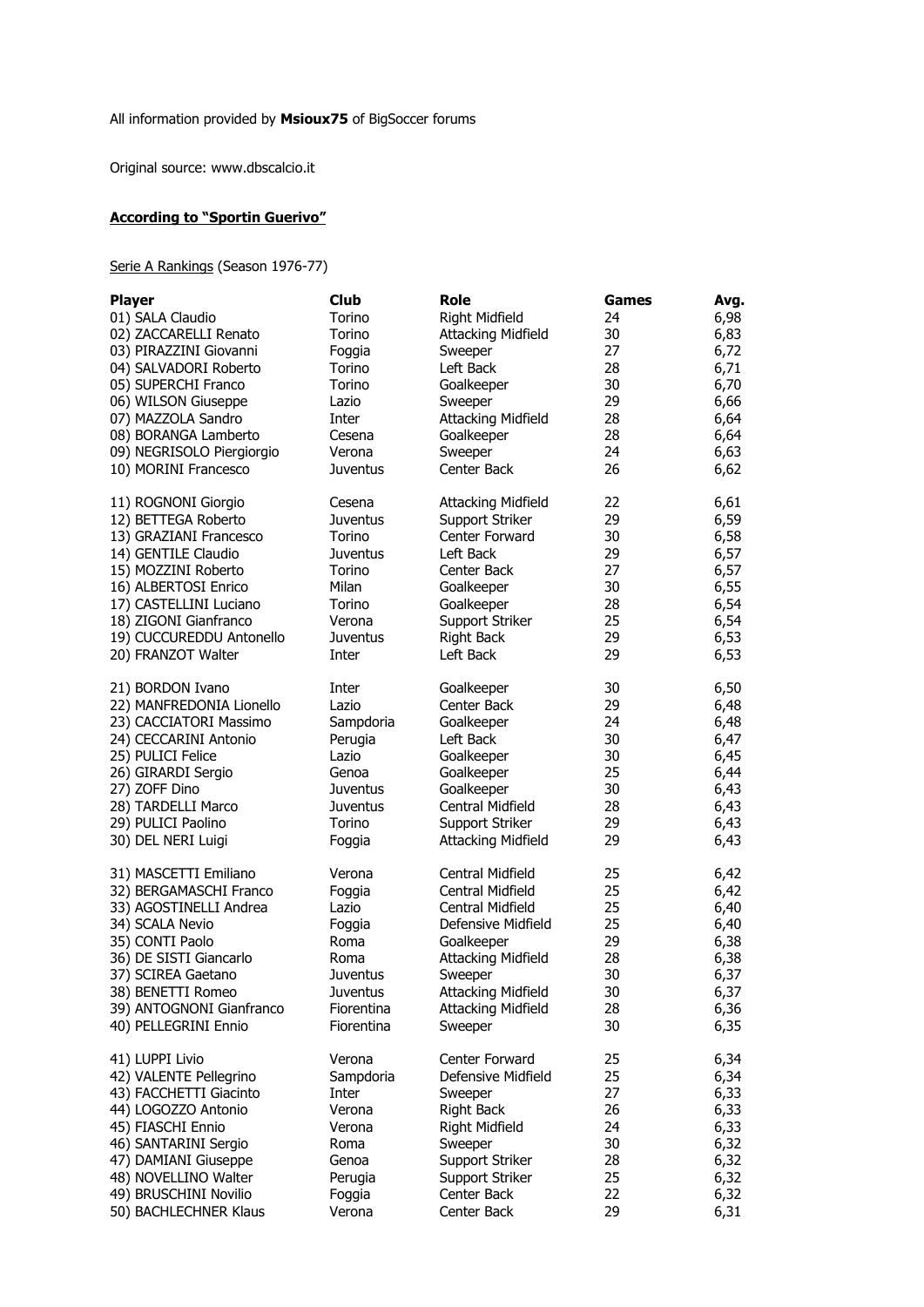Original source: www.dbscalcio.it

## **According to "Sportin Guerivo"**

## Serie A Rankings (Season 1976-77)

| <b>Player</b>             | <b>Club</b>     | <b>Role</b>               | Games | Avg. |
|---------------------------|-----------------|---------------------------|-------|------|
| 01) SALA Claudio          | Torino          | <b>Right Midfield</b>     | 24    | 6,98 |
| 02) ZACCARELLI Renato     | Torino          | <b>Attacking Midfield</b> | 30    | 6,83 |
| 03) PIRAZZINI Giovanni    | Foggia          | Sweeper                   | 27    | 6,72 |
| 04) SALVADORI Roberto     | Torino          | Left Back                 | 28    | 6,71 |
| 05) SUPERCHI Franco       | Torino          | Goalkeeper                | 30    | 6,70 |
| 06) WILSON Giuseppe       | Lazio           | Sweeper                   | 29    | 6,66 |
|                           | Inter           |                           | 28    |      |
| 07) MAZZOLA Sandro        |                 | <b>Attacking Midfield</b> |       | 6,64 |
| 08) BORANGA Lamberto      | Cesena          | Goalkeeper                | 28    | 6,64 |
| 09) NEGRISOLO Piergiorgio | Verona          | Sweeper                   | 24    | 6,63 |
| 10) MORINI Francesco      | <b>Juventus</b> | Center Back               | 26    | 6,62 |
| 11) ROGNONI Giorgio       | Cesena          | <b>Attacking Midfield</b> | 22    | 6,61 |
| 12) BETTEGA Roberto       | <b>Juventus</b> | Support Striker           | 29    | 6,59 |
| 13) GRAZIANI Francesco    | Torino          | Center Forward            | 30    | 6,58 |
| 14) GENTILE Claudio       | <b>Juventus</b> | Left Back                 | 29    | 6,57 |
| 15) MOZZINI Roberto       | Torino          | Center Back               | 27    | 6,57 |
| 16) ALBERTOSI Enrico      | Milan           | Goalkeeper                | 30    | 6,55 |
| 17) CASTELLINI Luciano    | Torino          | Goalkeeper                | 28    | 6,54 |
| 18) ZIGONI Gianfranco     | Verona          | Support Striker           | 25    | 6,54 |
| 19) CUCCUREDDU Antonello  | <b>Juventus</b> | Right Back                | 29    | 6,53 |
| 20) FRANZOT Walter        | Inter           | Left Back                 | 29    | 6,53 |
|                           |                 |                           |       |      |
| 21) BORDON Ivano          | Inter           | Goalkeeper                | 30    | 6,50 |
| 22) MANFREDONIA Lionello  | Lazio           | Center Back               | 29    | 6,48 |
| 23) CACCIATORI Massimo    | Sampdoria       | Goalkeeper                | 24    | 6,48 |
| 24) CECCARINI Antonio     | Perugia         | Left Back                 | 30    | 6,47 |
| 25) PULICI Felice         | Lazio           | Goalkeeper                | 30    | 6,45 |
| 26) GIRARDI Sergio        | Genoa           | Goalkeeper                | 25    | 6,44 |
| 27) ZOFF Dino             | <b>Juventus</b> | Goalkeeper                | 30    | 6,43 |
| 28) TARDELLI Marco        | <b>Juventus</b> | Central Midfield          | 28    |      |
|                           |                 |                           |       | 6,43 |
| 29) PULICI Paolino        | Torino          | Support Striker           | 29    | 6,43 |
| 30) DEL NERI Luigi        | Foggia          | <b>Attacking Midfield</b> | 29    | 6,43 |
| 31) MASCETTI Emiliano     | Verona          | Central Midfield          | 25    | 6,42 |
| 32) BERGAMASCHI Franco    | Foggia          | Central Midfield          | 25    | 6,42 |
| 33) AGOSTINELLI Andrea    | Lazio           | Central Midfield          | 25    | 6,40 |
| 34) SCALA Nevio           | Foggia          | Defensive Midfield        | 25    | 6,40 |
| 35) CONTI Paolo           | Roma            | Goalkeeper                | 29    | 6,38 |
| 36) DE SISTI Giancarlo    | Roma            | <b>Attacking Midfield</b> | 28    | 6,38 |
| 37) SCIREA Gaetano        | Juventus        | Sweeper                   | 30    | 6,37 |
| 38) BENETTI Romeo         | <b>Juventus</b> | <b>Attacking Midfield</b> | 30    | 6,37 |
| 39) ANTOGNONI Gianfranco  | Fiorentina      | <b>Attacking Midfield</b> | 28    | 6,36 |
| 40) PELLEGRINI Ennio      | Fiorentina      | Sweeper                   | 30    | 6,35 |
| 41) LUPPI Livio           | Verona          | Center Forward            | 25    | 6,34 |
| 42) VALENTE Pellegrino    | Sampdoria       | Defensive Midfield        | 25    | 6,34 |
| 43) FACCHETTI Giacinto    | Inter           |                           | 27    | 6,33 |
|                           |                 | Sweeper                   |       |      |
| 44) LOGOZZO Antonio       | Verona          | <b>Right Back</b>         | 26    | 6,33 |
| 45) FIASCHI Ennio         | Verona          | Right Midfield            | 24    | 6,33 |
| 46) SANTARINI Sergio      | Roma            | Sweeper                   | 30    | 6,32 |
| 47) DAMIANI Giuseppe      | Genoa           | Support Striker           | 28    | 6,32 |
| 48) NOVELLINO Walter      | Perugia         | Support Striker           | 25    | 6,32 |
| 49) BRUSCHINI Novilio     | Foggia          | Center Back               | 22    | 6,32 |
| 50) BACHLECHNER Klaus     | Verona          | Center Back               | 29    | 6,31 |